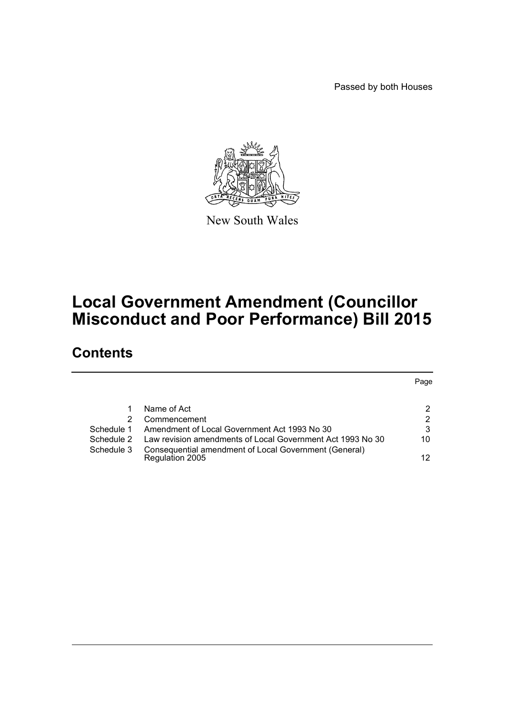Passed by both Houses



New South Wales

# **Local Government Amendment (Councillor Misconduct and Poor Performance) Bill 2015**

# **Contents**

|            |                                                                          | Page |
|------------|--------------------------------------------------------------------------|------|
|            | Name of Act                                                              | 2    |
|            | Commencement                                                             | 2    |
| Schedule 1 | Amendment of Local Government Act 1993 No 30                             | 3    |
| Schedule 2 | Law revision amendments of Local Government Act 1993 No 30               | 10   |
| Schedule 3 | Consequential amendment of Local Government (General)<br>Regulation 2005 | 12   |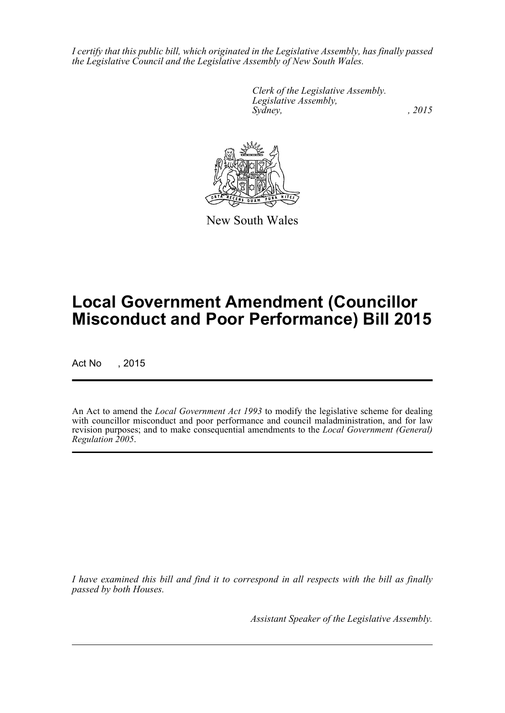*I certify that this public bill, which originated in the Legislative Assembly, has finally passed the Legislative Council and the Legislative Assembly of New South Wales.*

> *Clerk of the Legislative Assembly. Legislative Assembly, Sydney,* , 2015



New South Wales

# **Local Government Amendment (Councillor Misconduct and Poor Performance) Bill 2015**

Act No , 2015

An Act to amend the *Local Government Act 1993* to modify the legislative scheme for dealing with councillor misconduct and poor performance and council maladministration, and for law revision purposes; and to make consequential amendments to the *Local Government (General) Regulation 2005*.

*I have examined this bill and find it to correspond in all respects with the bill as finally passed by both Houses.*

*Assistant Speaker of the Legislative Assembly.*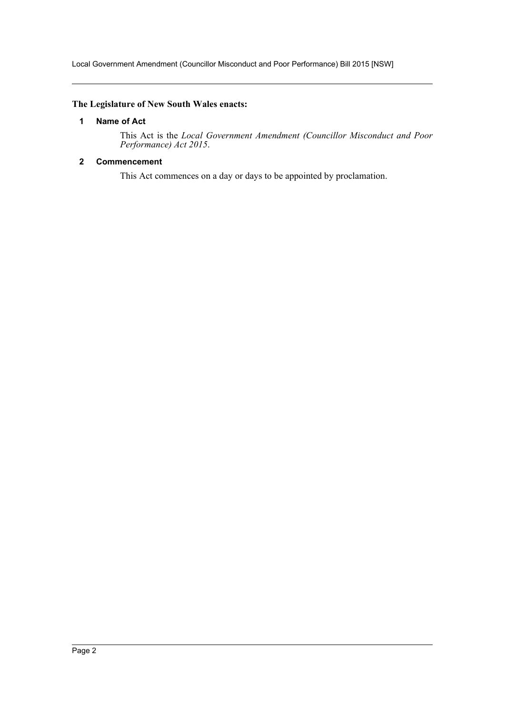Local Government Amendment (Councillor Misconduct and Poor Performance) Bill 2015 [NSW]

## <span id="page-2-0"></span>**The Legislature of New South Wales enacts:**

## **1 Name of Act**

This Act is the *Local Government Amendment (Councillor Misconduct and Poor Performance) Act 2015*.

## <span id="page-2-1"></span>**2 Commencement**

This Act commences on a day or days to be appointed by proclamation.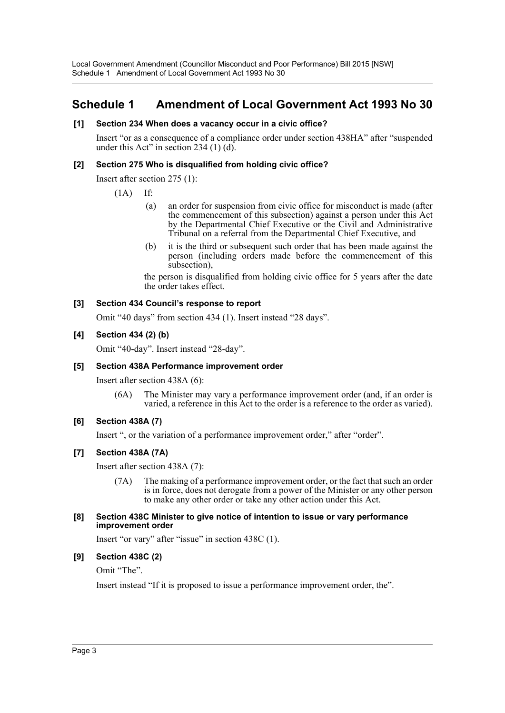Local Government Amendment (Councillor Misconduct and Poor Performance) Bill 2015 [NSW] Schedule 1 Amendment of Local Government Act 1993 No 30

## <span id="page-3-0"></span>**Schedule 1 Amendment of Local Government Act 1993 No 30**

#### **[1] Section 234 When does a vacancy occur in a civic office?**

Insert "or as a consequence of a compliance order under section 438HA" after "suspended under this Act" in section 234  $(1)$   $(d)$ .

#### **[2] Section 275 Who is disqualified from holding civic office?**

Insert after section 275 (1):

(1A) If:

- (a) an order for suspension from civic office for misconduct is made (after the commencement of this subsection) against a person under this Act by the Departmental Chief Executive or the Civil and Administrative Tribunal on a referral from the Departmental Chief Executive, and
- (b) it is the third or subsequent such order that has been made against the person (including orders made before the commencement of this subsection),

the person is disqualified from holding civic office for 5 years after the date the order takes effect.

## **[3] Section 434 Council's response to report**

Omit "40 days" from section 434 (1). Insert instead "28 days".

## **[4] Section 434 (2) (b)**

Omit "40-day". Insert instead "28-day".

#### **[5] Section 438A Performance improvement order**

Insert after section 438A (6):

(6A) The Minister may vary a performance improvement order (and, if an order is varied, a reference in this Act to the order is a reference to the order as varied).

## **[6] Section 438A (7)**

Insert ", or the variation of a performance improvement order," after "order".

## **[7] Section 438A (7A)**

Insert after section 438A (7):

(7A) The making of a performance improvement order, or the fact that such an order is in force, does not derogate from a power of the Minister or any other person to make any other order or take any other action under this Act.

#### **[8] Section 438C Minister to give notice of intention to issue or vary performance improvement order**

Insert "or vary" after "issue" in section 438C (1).

## **[9] Section 438C (2)**

Omit "The".

Insert instead "If it is proposed to issue a performance improvement order, the".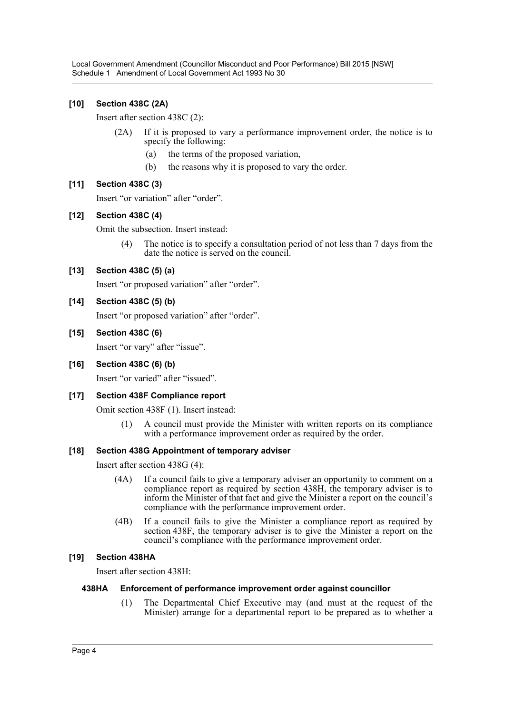Local Government Amendment (Councillor Misconduct and Poor Performance) Bill 2015 [NSW] Schedule 1 Amendment of Local Government Act 1993 No 30

## **[10] Section 438C (2A)**

Insert after section 438C (2):

- (2A) If it is proposed to vary a performance improvement order, the notice is to specify the following:
	- (a) the terms of the proposed variation,
	- (b) the reasons why it is proposed to vary the order.

## **[11] Section 438C (3)**

Insert "or variation" after "order".

## **[12] Section 438C (4)**

Omit the subsection. Insert instead:

(4) The notice is to specify a consultation period of not less than 7 days from the date the notice is served on the council.

## **[13] Section 438C (5) (a)**

Insert "or proposed variation" after "order".

#### **[14] Section 438C (5) (b)**

Insert "or proposed variation" after "order".

## **[15] Section 438C (6)**

Insert "or vary" after "issue".

#### **[16] Section 438C (6) (b)**

Insert "or varied" after "issued".

#### **[17] Section 438F Compliance report**

Omit section 438F (1). Insert instead:

(1) A council must provide the Minister with written reports on its compliance with a performance improvement order as required by the order.

#### **[18] Section 438G Appointment of temporary adviser**

Insert after section 438G (4):

- (4A) If a council fails to give a temporary adviser an opportunity to comment on a compliance report as required by section 438H, the temporary adviser is to inform the Minister of that fact and give the Minister a report on the council's compliance with the performance improvement order.
- (4B) If a council fails to give the Minister a compliance report as required by section 438F, the temporary adviser is to give the Minister a report on the council's compliance with the performance improvement order.

#### **[19] Section 438HA**

Insert after section 438H:

#### **438HA Enforcement of performance improvement order against councillor**

(1) The Departmental Chief Executive may (and must at the request of the Minister) arrange for a departmental report to be prepared as to whether a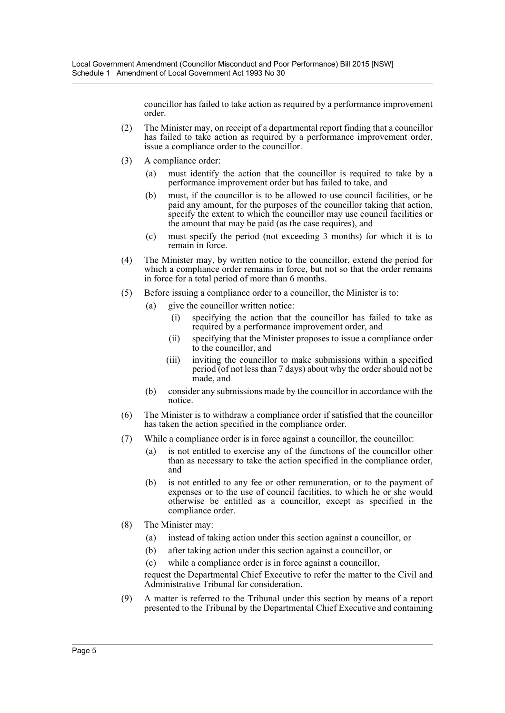councillor has failed to take action as required by a performance improvement order.

- (2) The Minister may, on receipt of a departmental report finding that a councillor has failed to take action as required by a performance improvement order, issue a compliance order to the councillor.
- (3) A compliance order:
	- (a) must identify the action that the councillor is required to take by a performance improvement order but has failed to take, and
	- (b) must, if the councillor is to be allowed to use council facilities, or be paid any amount, for the purposes of the councillor taking that action, specify the extent to which the councillor may use council facilities or the amount that may be paid (as the case requires), and
	- (c) must specify the period (not exceeding 3 months) for which it is to remain in force.
- (4) The Minister may, by written notice to the councillor, extend the period for which a compliance order remains in force, but not so that the order remains in force for a total period of more than 6 months.
- (5) Before issuing a compliance order to a councillor, the Minister is to:
	- (a) give the councillor written notice:
		- (i) specifying the action that the councillor has failed to take as required by a performance improvement order, and
		- (ii) specifying that the Minister proposes to issue a compliance order to the councillor, and
		- (iii) inviting the councillor to make submissions within a specified period (of not less than 7 days) about why the order should not be made, and
	- (b) consider any submissions made by the councillor in accordance with the notice.
- (6) The Minister is to withdraw a compliance order if satisfied that the councillor has taken the action specified in the compliance order.
- (7) While a compliance order is in force against a councillor, the councillor:
	- (a) is not entitled to exercise any of the functions of the councillor other than as necessary to take the action specified in the compliance order, and
	- (b) is not entitled to any fee or other remuneration, or to the payment of expenses or to the use of council facilities, to which he or she would otherwise be entitled as a councillor, except as specified in the compliance order.
- (8) The Minister may:
	- (a) instead of taking action under this section against a councillor, or
	- (b) after taking action under this section against a councillor, or
	- (c) while a compliance order is in force against a councillor,

request the Departmental Chief Executive to refer the matter to the Civil and Administrative Tribunal for consideration.

(9) A matter is referred to the Tribunal under this section by means of a report presented to the Tribunal by the Departmental Chief Executive and containing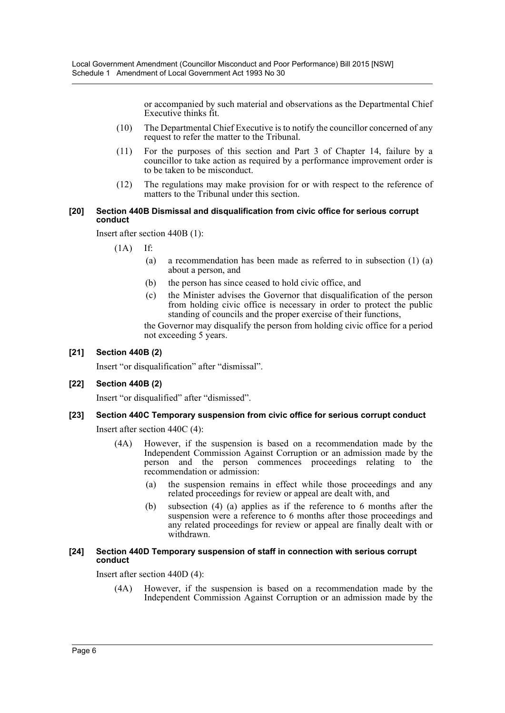or accompanied by such material and observations as the Departmental Chief Executive thinks fit.

- (10) The Departmental Chief Executive is to notify the councillor concerned of any request to refer the matter to the Tribunal.
- (11) For the purposes of this section and Part 3 of Chapter 14, failure by a councillor to take action as required by a performance improvement order is to be taken to be misconduct.
- (12) The regulations may make provision for or with respect to the reference of matters to the Tribunal under this section.

#### **[20] Section 440B Dismissal and disqualification from civic office for serious corrupt conduct**

Insert after section 440B (1):

 $(1A)$  If:

- (a) a recommendation has been made as referred to in subsection (1) (a) about a person, and
- (b) the person has since ceased to hold civic office, and
- (c) the Minister advises the Governor that disqualification of the person from holding civic office is necessary in order to protect the public standing of councils and the proper exercise of their functions,

the Governor may disqualify the person from holding civic office for a period not exceeding 5 years.

## **[21] Section 440B (2)**

Insert "or disqualification" after "dismissal".

## **[22] Section 440B (2)**

Insert "or disqualified" after "dismissed".

## **[23] Section 440C Temporary suspension from civic office for serious corrupt conduct**

Insert after section 440C (4):

- (4A) However, if the suspension is based on a recommendation made by the Independent Commission Against Corruption or an admission made by the person and the person commences proceedings relating to the recommendation or admission:
	- (a) the suspension remains in effect while those proceedings and any related proceedings for review or appeal are dealt with, and
	- (b) subsection (4) (a) applies as if the reference to 6 months after the suspension were a reference to 6 months after those proceedings and any related proceedings for review or appeal are finally dealt with or withdrawn.

#### **[24] Section 440D Temporary suspension of staff in connection with serious corrupt conduct**

Insert after section 440D (4):

(4A) However, if the suspension is based on a recommendation made by the Independent Commission Against Corruption or an admission made by the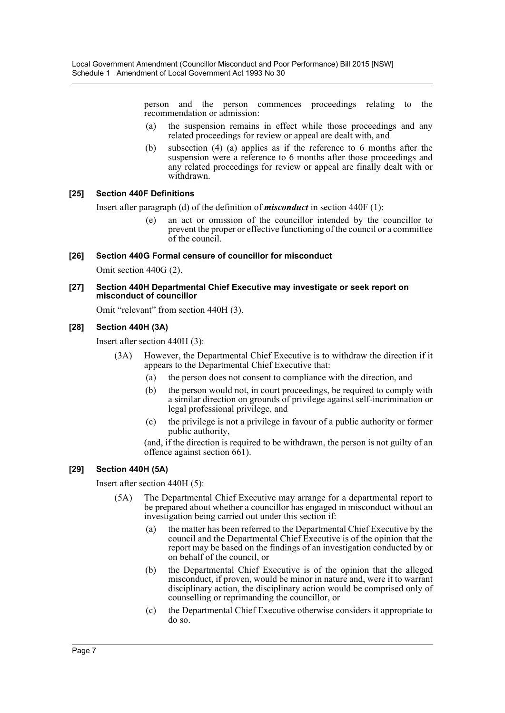person and the person commences proceedings relating to the recommendation or admission:

- (a) the suspension remains in effect while those proceedings and any related proceedings for review or appeal are dealt with, and
- (b) subsection (4) (a) applies as if the reference to 6 months after the suspension were a reference to 6 months after those proceedings and any related proceedings for review or appeal are finally dealt with or withdrawn.

## **[25] Section 440F Definitions**

Insert after paragraph (d) of the definition of *misconduct* in section 440F (1):

(e) an act or omission of the councillor intended by the councillor to prevent the proper or effective functioning of the council or a committee of the council.

#### **[26] Section 440G Formal censure of councillor for misconduct**

Omit section 440G (2).

#### **[27] Section 440H Departmental Chief Executive may investigate or seek report on misconduct of councillor**

Omit "relevant" from section 440H (3).

#### **[28] Section 440H (3A)**

Insert after section 440H (3):

- (3A) However, the Departmental Chief Executive is to withdraw the direction if it appears to the Departmental Chief Executive that:
	- (a) the person does not consent to compliance with the direction, and
	- (b) the person would not, in court proceedings, be required to comply with a similar direction on grounds of privilege against self-incrimination or legal professional privilege, and
	- (c) the privilege is not a privilege in favour of a public authority or former public authority,

(and, if the direction is required to be withdrawn, the person is not guilty of an offence against section 661).

#### **[29] Section 440H (5A)**

Insert after section 440H (5):

- (5A) The Departmental Chief Executive may arrange for a departmental report to be prepared about whether a councillor has engaged in misconduct without an investigation being carried out under this section if:
	- (a) the matter has been referred to the Departmental Chief Executive by the council and the Departmental Chief Executive is of the opinion that the report may be based on the findings of an investigation conducted by or on behalf of the council, or
	- (b) the Departmental Chief Executive is of the opinion that the alleged misconduct, if proven, would be minor in nature and, were it to warrant disciplinary action, the disciplinary action would be comprised only of counselling or reprimanding the councillor, or
	- (c) the Departmental Chief Executive otherwise considers it appropriate to do so.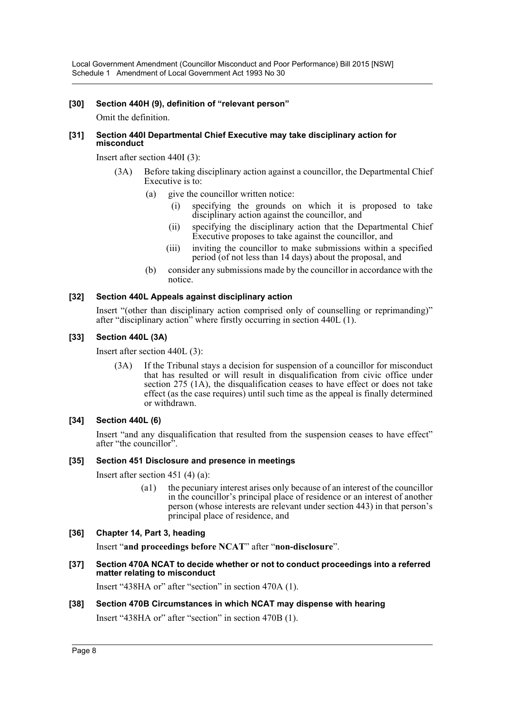Local Government Amendment (Councillor Misconduct and Poor Performance) Bill 2015 [NSW] Schedule 1 Amendment of Local Government Act 1993 No 30

#### **[30] Section 440H (9), definition of "relevant person"**

Omit the definition.

#### **[31] Section 440I Departmental Chief Executive may take disciplinary action for misconduct**

Insert after section 440I (3):

- (3A) Before taking disciplinary action against a councillor, the Departmental Chief Executive is to:
	- (a) give the councillor written notice:
		- (i) specifying the grounds on which it is proposed to take disciplinary action against the councillor, and
		- (ii) specifying the disciplinary action that the Departmental Chief Executive proposes to take against the councillor, and
		- (iii) inviting the councillor to make submissions within a specified period (of not less than 14 days) about the proposal, and
	- (b) consider any submissions made by the councillor in accordance with the notice.

#### **[32] Section 440L Appeals against disciplinary action**

Insert "(other than disciplinary action comprised only of counselling or reprimanding)" after "disciplinary action" where firstly occurring in section 440L (1).

#### **[33] Section 440L (3A)**

Insert after section 440L (3):

(3A) If the Tribunal stays a decision for suspension of a councillor for misconduct that has resulted or will result in disqualification from civic office under section 275 (1A), the disqualification ceases to have effect or does not take effect (as the case requires) until such time as the appeal is finally determined or withdrawn.

#### **[34] Section 440L (6)**

Insert "and any disqualification that resulted from the suspension ceases to have effect" after "the councillor".

#### **[35] Section 451 Disclosure and presence in meetings**

Insert after section 451 (4) (a):

(a1) the pecuniary interest arises only because of an interest of the councillor in the councillor's principal place of residence or an interest of another person (whose interests are relevant under section 443) in that person's principal place of residence, and

#### **[36] Chapter 14, Part 3, heading**

Insert "**and proceedings before NCAT**" after "**non-disclosure**".

**[37] Section 470A NCAT to decide whether or not to conduct proceedings into a referred matter relating to misconduct**

Insert "438HA or" after "section" in section 470A (1).

## **[38] Section 470B Circumstances in which NCAT may dispense with hearing**

Insert "438HA or" after "section" in section 470B (1).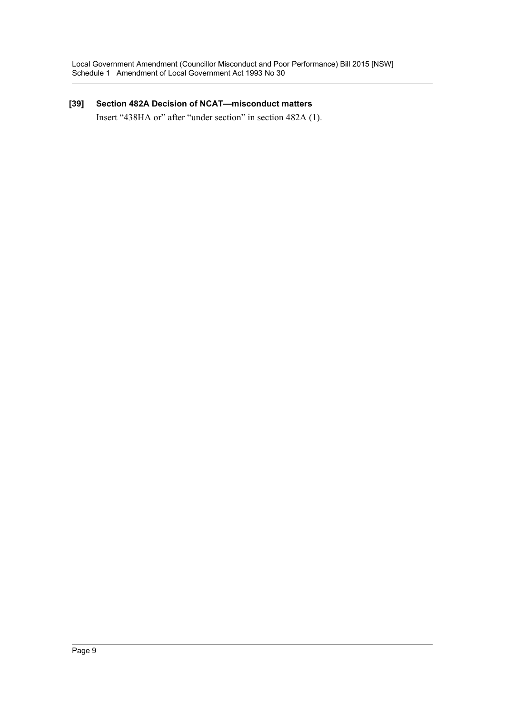## **[39] Section 482A Decision of NCAT—misconduct matters**

Insert "438HA or" after "under section" in section 482A (1).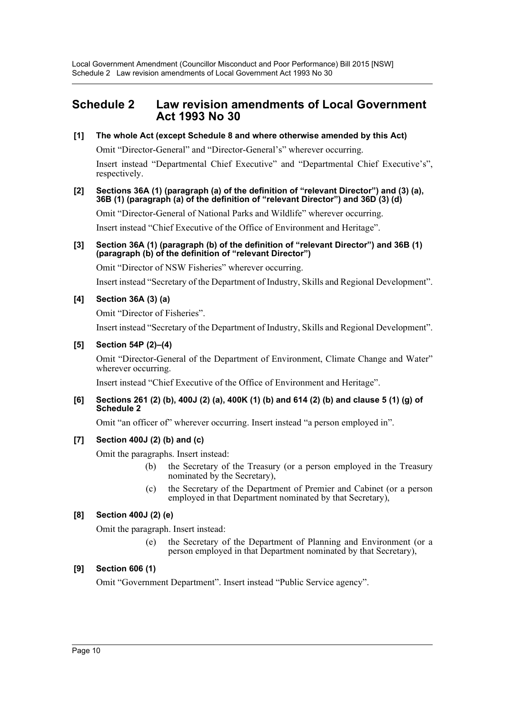Local Government Amendment (Councillor Misconduct and Poor Performance) Bill 2015 [NSW] Schedule 2 Law revision amendments of Local Government Act 1993 No 30

## <span id="page-10-0"></span>**Schedule 2 Law revision amendments of Local Government Act 1993 No 30**

## **[1] The whole Act (except Schedule 8 and where otherwise amended by this Act)**

Omit "Director-General" and "Director-General's" wherever occurring.

Insert instead "Departmental Chief Executive" and "Departmental Chief Executive's", respectively.

#### **[2] Sections 36A (1) (paragraph (a) of the definition of "relevant Director") and (3) (a), 36B (1) (paragraph (a) of the definition of "relevant Director") and 36D (3) (d)**

Omit "Director-General of National Parks and Wildlife" wherever occurring.

Insert instead "Chief Executive of the Office of Environment and Heritage".

#### **[3] Section 36A (1) (paragraph (b) of the definition of "relevant Director") and 36B (1) (paragraph (b) of the definition of "relevant Director")**

Omit "Director of NSW Fisheries" wherever occurring.

Insert instead "Secretary of the Department of Industry, Skills and Regional Development".

## **[4] Section 36A (3) (a)**

Omit "Director of Fisheries".

Insert instead "Secretary of the Department of Industry, Skills and Regional Development".

## **[5] Section 54P (2)–(4)**

Omit "Director-General of the Department of Environment, Climate Change and Water" wherever occurring.

Insert instead "Chief Executive of the Office of Environment and Heritage".

#### **[6] Sections 261 (2) (b), 400J (2) (a), 400K (1) (b) and 614 (2) (b) and clause 5 (1) (g) of Schedule 2**

Omit "an officer of" wherever occurring. Insert instead "a person employed in".

## **[7] Section 400J (2) (b) and (c)**

Omit the paragraphs. Insert instead:

- (b) the Secretary of the Treasury (or a person employed in the Treasury nominated by the Secretary),
- (c) the Secretary of the Department of Premier and Cabinet (or a person employed in that Department nominated by that Secretary),

## **[8] Section 400J (2) (e)**

Omit the paragraph. Insert instead:

(e) the Secretary of the Department of Planning and Environment (or a person employed in that Department nominated by that Secretary),

## **[9] Section 606 (1)**

Omit "Government Department". Insert instead "Public Service agency".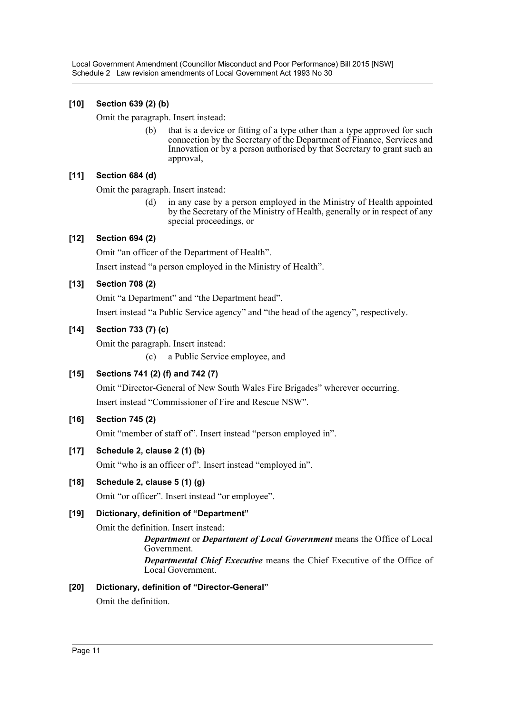Local Government Amendment (Councillor Misconduct and Poor Performance) Bill 2015 [NSW] Schedule 2 Law revision amendments of Local Government Act 1993 No 30

## **[10] Section 639 (2) (b)**

Omit the paragraph. Insert instead:

(b) that is a device or fitting of a type other than a type approved for such connection by the Secretary of the Department of Finance, Services and Innovation or by a person authorised by that Secretary to grant such an approval,

## **[11] Section 684 (d)**

Omit the paragraph. Insert instead:

(d) in any case by a person employed in the Ministry of Health appointed by the Secretary of the Ministry of Health, generally or in respect of any special proceedings, or

## **[12] Section 694 (2)**

Omit "an officer of the Department of Health".

Insert instead "a person employed in the Ministry of Health".

## **[13] Section 708 (2)**

Omit "a Department" and "the Department head".

Insert instead "a Public Service agency" and "the head of the agency", respectively.

## **[14] Section 733 (7) (c)**

Omit the paragraph. Insert instead:

(c) a Public Service employee, and

## **[15] Sections 741 (2) (f) and 742 (7)**

Omit "Director-General of New South Wales Fire Brigades" wherever occurring. Insert instead "Commissioner of Fire and Rescue NSW".

## **[16] Section 745 (2)**

Omit "member of staff of". Insert instead "person employed in".

## **[17] Schedule 2, clause 2 (1) (b)**

Omit "who is an officer of". Insert instead "employed in".

## **[18] Schedule 2, clause 5 (1) (g)**

Omit "or officer". Insert instead "or employee".

## **[19] Dictionary, definition of "Department"**

Omit the definition. Insert instead:

*Department* or *Department of Local Government* means the Office of Local Government.

*Departmental Chief Executive* means the Chief Executive of the Office of Local Government.

#### **[20] Dictionary, definition of "Director-General"**

Omit the definition.